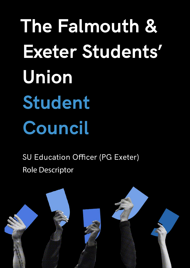**The Falmouth & Exeter Students' Union Student Council**

SU Education Officer (PG Exeter) Role Descriptor

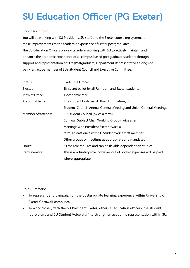## **SU Education Officer (PG Exeter)**

## Short Description:

You will be working with SU Presidents, SU staff, and the Exeter course rep system, to make improvements to the academic experience of Exeter postgraduates. The SU Education Officers play a vital role in working with SU to actively maintain and enhance the academic experience of all campus based postgraduate students through support and representation of SU's (Postgraduate) Department Representatives alongside being an active member of SU's Student Council and Executive Committee.

| Status:            | Part-Time Officer                                                      |
|--------------------|------------------------------------------------------------------------|
| Elected:           | By secret ballot by all Falmouth and Exeter students                   |
| Term of Office:    | 1 Academic Year                                                        |
| Accountable to:    | The student body via SU Board of Trustees, SU                          |
|                    | Student Council, Annual General Meeting and Union General Meetings     |
| Member of/attends: | SU Student Council (twice a term)                                      |
|                    | Cornwall Subject Chair Working Group (twice a term)                    |
|                    | Meetings with President Exeter (twice a                                |
|                    | term, at least once with SU Student Voice staff member)                |
|                    | Other groups or meetings as appropriate and mandated                   |
| Hours:             | As the role requires and can be flexible dependent on studies.         |
| Remuneration:      | This is a voluntary role, however, out of pocket expenses will be paid |
|                    | where appropriate.                                                     |

Role Summary:

- To represent and campaign on the postgraduate learning experience within University of Exeter Cornwall campuses;
- To work closely with the SU President Exeter, other SU education officers, the student rep system, and SU Student Voice staff, to strengthen academic representation within SU.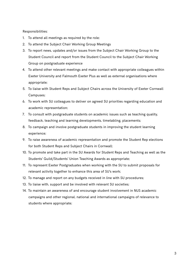Responsibilities:

- 1. To attend all meetings as required by the role;
- 2. To attend the Subject Chair Working Group Meetings
- 3. To report news, updates and/or issues from the Subject Chair Working Group to the Student Council and report from the Student Council to the Subject Chair Working Group on postgraduate experience
- 4. To attend other relevant meetings and make contact with appropriate colleagues within Exeter University and Falmouth Exeter Plus as well as external organisations where appropriate;
- 5. To liaise with Student Reps and Subject Chairs across the University of Exeter Cornwall Campuses;
- 6. To work with SU colleagues to deliver on agreed SU priorities regarding education and academic representation;
- 7. To consult with postgraduate students on academic issues such as teaching quality, feedback, teaching and learning developments, timetabling, placements;
- 8. To campaign and involve postgraduate students in improving the student learning experience;
- 9. To raise awareness of academic representation and promote the Student Rep elections for both Student Reps and Subject Chairs in Cornwall;
- 10. To promote and take part in the SU Awards for Student Reps and Teaching as well as the Students' Guild/Students' Union Teaching Awards as appropriate;
- 11. To represent Exeter Postgraduates when working with the SU to submit proposals for relevant activity together to enhance this area of SU's work;
- 12. To manage and report on any budgets received in line with SU procedures;
- 13. To liaise with, support and be involved with relevant SU societies;
- 14. To maintain an awareness of and encourage student involvement in NUS academic campaigns and other regional, national and international campaigns of relevance to students where appropriate;